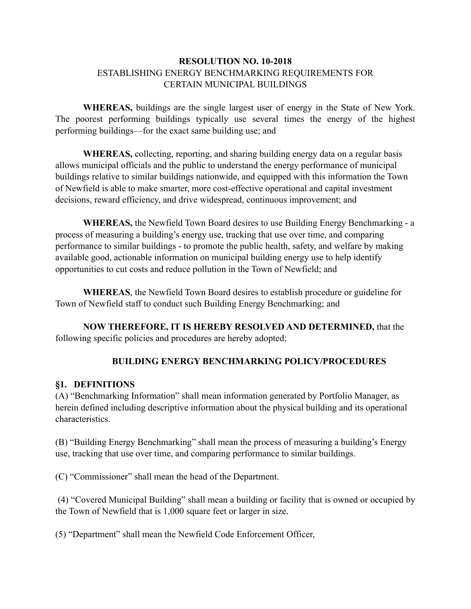### **RESOLUTION NO. 10-2018** ESTABLISHING ENERGY BENCHMARKING REQUIREMENTS FOR CERTAIN MUNICIPAL BUILDINGS

**WHEREAS,** buildings are the single largest user of energy in the State of New York. The poorest performing buildings typically use several times the energy of the highest performing buildings—for the exact same building use; and

**WHEREAS,** collecting, reporting, and sharing building energy data on a regular basis allows municipal officials and the public to understand the energy performance of municipal buildings relative to similar buildings nationwide, and equipped with this information the Town of Newfield is able to make smarter, more cost-effective operational and capital investment decisions, reward efficiency, and drive widespread, continuous improvement; and

**WHEREAS,** the Newfield Town Board desires to use Building Energy Benchmarking - a process of measuring a building's energy use, tracking that use over time, and comparing performance to similar buildings - to promote the public health, safety, and welfare by making available good, actionable information on municipal building energy use to help identify opportunities to cut costs and reduce pollution in the Town of Newfield; and

**WHEREAS**, the Newfield Town Board desires to establish procedure or guideline for Town of Newfield staff to conduct such Building Energy Benchmarking; and

**NOW THEREFORE, IT IS HEREBY RESOLVED AND DETERMINED,** that the following specific policies and procedures are hereby adopted;

# **BUILDING ENERGY BENCHMARKING POLICY/PROCEDURES**

#### **§1. DEFINITIONS**

(A) "Benchmarking Information" shall mean information generated by Portfolio Manager, as herein defined including descriptive information about the physical building and its operational characteristics.

(B) "Building Energy Benchmarking" shall mean the process of measuring a building's Energy use, tracking that use over time, and comparing performance to similar buildings.

(C) "Commissioner" shall mean the head of the Department.

 (4) "Covered Municipal Building" shall mean a building or facility that is owned or occupied by the Town of Newfield that is 1,000 square feet or larger in size.

(5) "Department" shall mean the Newfield Code Enforcement Officer,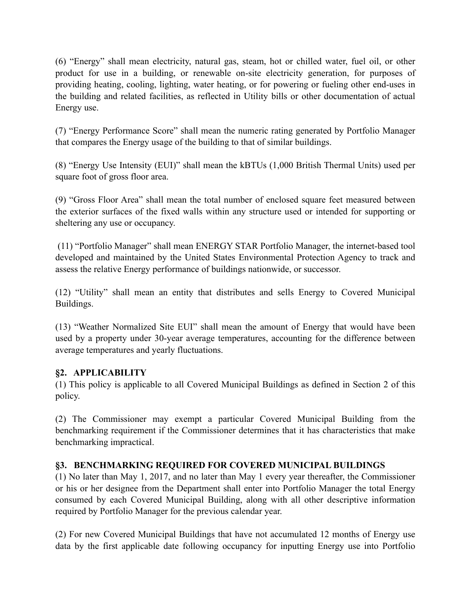(6) "Energy" shall mean electricity, natural gas, steam, hot or chilled water, fuel oil, or other product for use in a building, or renewable on-site electricity generation, for purposes of providing heating, cooling, lighting, water heating, or for powering or fueling other end-uses in the building and related facilities, as reflected in Utility bills or other documentation of actual Energy use.

(7) "Energy Performance Score" shall mean the numeric rating generated by Portfolio Manager that compares the Energy usage of the building to that of similar buildings.

(8) "Energy Use Intensity (EUI)" shall mean the kBTUs (1,000 British Thermal Units) used per square foot of gross floor area.

(9) "Gross Floor Area" shall mean the total number of enclosed square feet measured between the exterior surfaces of the fixed walls within any structure used or intended for supporting or sheltering any use or occupancy.

 (11) "Portfolio Manager" shall mean ENERGY STAR Portfolio Manager, the internet-based tool developed and maintained by the United States Environmental Protection Agency to track and assess the relative Energy performance of buildings nationwide, or successor.

(12) "Utility" shall mean an entity that distributes and sells Energy to Covered Municipal Buildings.

(13) "Weather Normalized Site EUI" shall mean the amount of Energy that would have been used by a property under 30-year average temperatures, accounting for the difference between average temperatures and yearly fluctuations.

# **§2. APPLICABILITY**

(1) This policy is applicable to all Covered Municipal Buildings as defined in Section 2 of this policy.

(2) The Commissioner may exempt a particular Covered Municipal Building from the benchmarking requirement if the Commissioner determines that it has characteristics that make benchmarking impractical.

# **§3. BENCHMARKING REQUIRED FOR COVERED MUNICIPAL BUILDINGS**

(1) No later than May 1, 2017, and no later than May 1 every year thereafter, the Commissioner or his or her designee from the Department shall enter into Portfolio Manager the total Energy consumed by each Covered Municipal Building, along with all other descriptive information required by Portfolio Manager for the previous calendar year.

(2) For new Covered Municipal Buildings that have not accumulated 12 months of Energy use data by the first applicable date following occupancy for inputting Energy use into Portfolio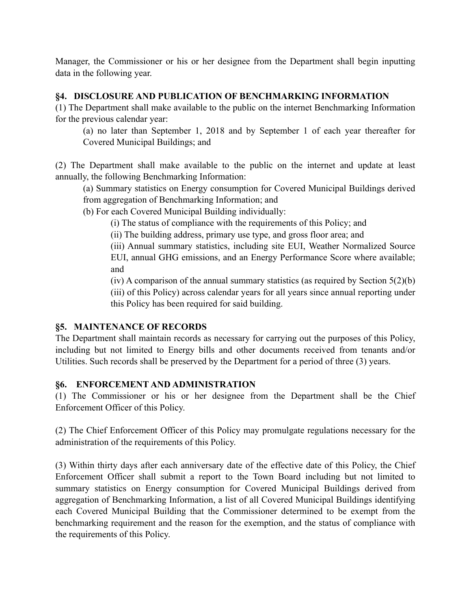Manager, the Commissioner or his or her designee from the Department shall begin inputting data in the following year.

#### **§4. DISCLOSURE AND PUBLICATION OF BENCHMARKING INFORMATION**

(1) The Department shall make available to the public on the internet Benchmarking Information for the previous calendar year:

(a) no later than September 1, 2018 and by September 1 of each year thereafter for Covered Municipal Buildings; and

(2) The Department shall make available to the public on the internet and update at least annually, the following Benchmarking Information:

(a) Summary statistics on Energy consumption for Covered Municipal Buildings derived from aggregation of Benchmarking Information; and

(b) For each Covered Municipal Building individually:

(i) The status of compliance with the requirements of this Policy; and

(ii) The building address, primary use type, and gross floor area; and

(iii) Annual summary statistics, including site EUI, Weather Normalized Source EUI, annual GHG emissions, and an Energy Performance Score where available; and

(iv) A comparison of the annual summary statistics (as required by Section 5(2)(b) (iii) of this Policy) across calendar years for all years since annual reporting under this Policy has been required for said building.

# **§5. MAINTENANCE OF RECORDS**

The Department shall maintain records as necessary for carrying out the purposes of this Policy, including but not limited to Energy bills and other documents received from tenants and/or Utilities. Such records shall be preserved by the Department for a period of three (3) years.

# **§6. ENFORCEMENT AND ADMINISTRATION**

(1) The Commissioner or his or her designee from the Department shall be the Chief Enforcement Officer of this Policy.

(2) The Chief Enforcement Officer of this Policy may promulgate regulations necessary for the administration of the requirements of this Policy.

(3) Within thirty days after each anniversary date of the effective date of this Policy, the Chief Enforcement Officer shall submit a report to the Town Board including but not limited to summary statistics on Energy consumption for Covered Municipal Buildings derived from aggregation of Benchmarking Information, a list of all Covered Municipal Buildings identifying each Covered Municipal Building that the Commissioner determined to be exempt from the benchmarking requirement and the reason for the exemption, and the status of compliance with the requirements of this Policy.